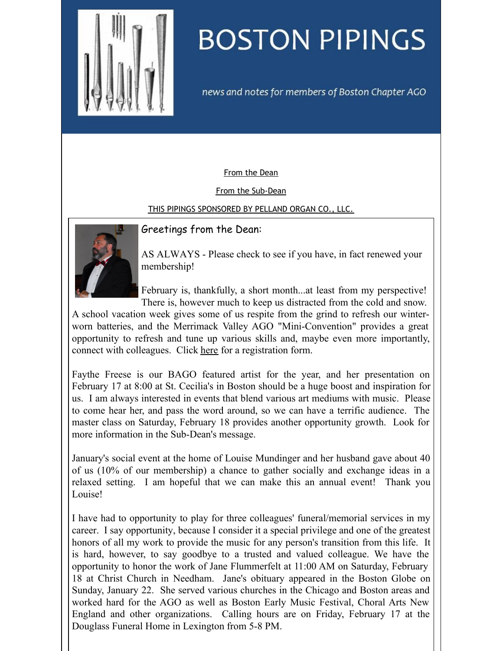<span id="page-0-0"></span>

# **BOSTON PIPINGS**

news and notes for members of Boston Chapter AGO

## [From](#page-0-0) the Dean

#### From the [Sub-Dean](#page-0-0)

## THIS PIPINGS [SPONSORED](#page-0-0) BY PELLAND ORGAN CO., LLC.



## Greetings from the Dean:

AS ALWAYS - Please check to see if you have, in fact renewed your membership!

February is, thankfully, a short month...at least from my perspective! There is, however much to keep us distracted from the cold and snow.

A school vacation week gives some of us respite from the grind to refresh our winterworn batteries, and the Merrimack Valley AGO "Mini-Convention" provides a great opportunity to refresh and tune up various skills and, maybe even more importantly, connect with colleagues. Click [here](http://docs.google.com/viewer?a=v&pid=sites&srcid=bWVycmltYWNrYWdvLmNvbXx3d3d8Z3g6MmM4NGZjYjFhNzY3MzQ1ZA) for a registration form.

Faythe Freese is our BAGO featured artist for the year, and her presentation on February 17 at 8:00 at St. Cecilia's in Boston should be a huge boost and inspiration for us. I am always interested in events that blend various art mediums with music. Please to come hear her, and pass the word around, so we can have a terrific audience. The master class on Saturday, February 18 provides another opportunity growth. Look for more information in the Sub-Dean's message.

January's social event at the home of Louise Mundinger and her husband gave about 40 of us (10% of our membership) a chance to gather socially and exchange ideas in a relaxed setting. I am hopeful that we can make this an annual event! Thank you Louise!

I have had to opportunity to play for three colleagues' funeral/memorial services in my career. I say opportunity, because I consider it a special privilege and one of the greatest honors of all my work to provide the music for any person's transition from this life. It is hard, however, to say goodbye to a trusted and valued colleague. We have the opportunity to honor the work of Jane Flummerfelt at 11:00 AM on Saturday, February 18 at Christ Church in Needham. Jane's obituary appeared in the Boston Globe on Sunday, January 22. She served various churches in the Chicago and Boston areas and worked hard for the AGO as well as Boston Early Music Festival, Choral Arts New England and other organizations. Calling hours are on Friday, February 17 at the Douglass Funeral Home in Lexington from 5-8 PM.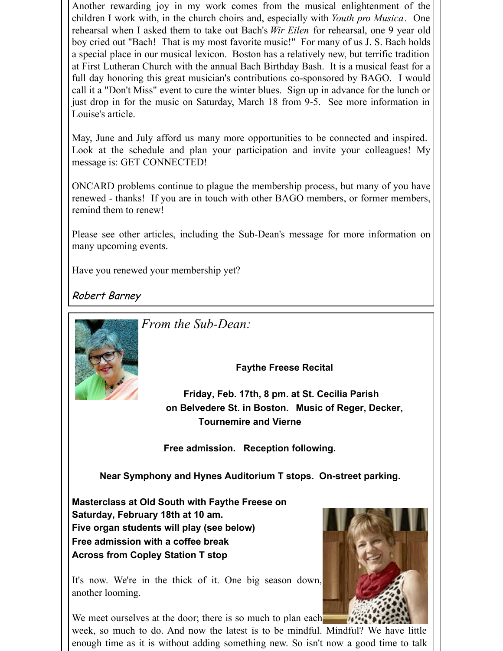Another rewarding joy in my work comes from the musical enlightenment of the children I work with, in the church choirs and, especially with *Youth pro Musica*. One rehearsal when I asked them to take out Bach's *Wir Eilen* for rehearsal, one 9 year old boy cried out "Bach! That is my most favorite music!" For many of us J. S. Bach holds a special place in our musical lexicon. Boston has a relatively new, but terrific tradition at First Lutheran Church with the annual Bach Birthday Bash. It is a musical feast for a full day honoring this great musician's contributions co-sponsored by BAGO. I would call it a "Don't Miss" event to cure the winter blues. Sign up in advance for the lunch or just drop in for the music on Saturday, March 18 from 9-5. See more information in Louise's article.

May, June and July afford us many more opportunities to be connected and inspired. Look at the schedule and plan your participation and invite your colleagues! My message is: GET CONNECTED!

ONCARD problems continue to plague the membership process, but many of you have renewed - thanks! If you are in touch with other BAGO members, or former members, remind them to renew!

Please see other articles, including the Sub-Dean's message for more information on many upcoming events.

Have you renewed your membership yet?

Robert Barney



*From the Sub-Dean:*

**Faythe Freese Recital**

**Friday, Feb. 17th, 8 pm. at St. Cecilia Parish on Belvedere St. in Boston. Music of Reger, Decker, Tournemire and Vierne**

**Free admission. Reception following.**

**Near Symphony and Hynes Auditorium T stops. On-street parking.**

**Masterclass at Old South with Faythe Freese on Saturday, February 18th at 10 am. Five organ students will play (see below) Free admission with a coffee break Across from Copley Station T stop**

It's now. We're in the thick of it. One big season down, another looming.

We meet ourselves at the door; there is so much to plan each

week, so much to do. And now the latest is to be mindful. Mindful? We have little enough time as it is without adding something new. So isn't now a good time to talk

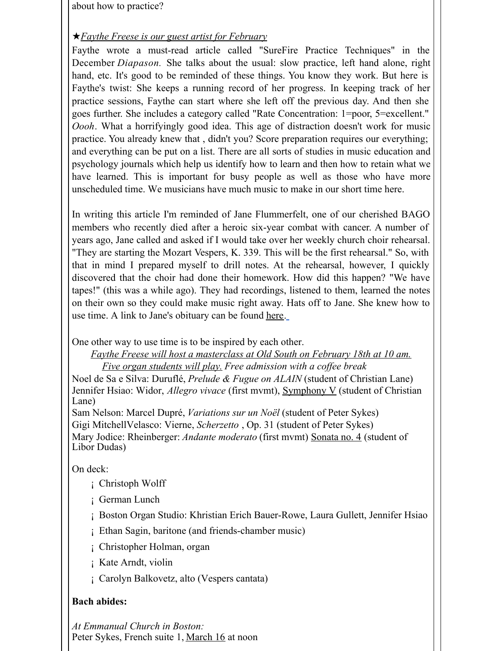about how to practice?

## ★*Faythe Freese is our guest artist for February*

Faythe wrote a must-read article called "SureFire Practice Techniques" in the December *Diapason.* She talks about the usual: slow practice, left hand alone, right hand, etc. It's good to be reminded of these things. You know they work. But here is Faythe's twist: She keeps a running record of her progress. In keeping track of her practice sessions, Faythe can start where she left off the previous day. And then she goes further. She includes a category called "Rate Concentration: 1=poor, 5=excellent." *Oooh*. What a horrifyingly good idea. This age of distraction doesn't work for music practice. You already knew that , didn't you? Score preparation requires our everything; and everything can be put on a list. There are all sorts of studies in music education and psychology journals which help us identify how to learn and then how to retain what we have learned. This is important for busy people as well as those who have more unscheduled time. We musicians have much music to make in our short time here.

In writing this article I'm reminded of Jane Flummerfelt, one of our cherished BAGO members who recently died after a heroic six-year combat with cancer. A number of years ago, Jane called and asked if I would take over her weekly church choir rehearsal. "They are starting the Mozart Vespers, K. 339. This will be the first rehearsal." So, with that in mind I prepared myself to drill notes. At the rehearsal, however, I quickly discovered that the choir had done their homework. How did this happen? "We have tapes!" (this was a while ago). They had recordings, listened to them, learned the notes on their own so they could make music right away. Hats off to Jane. She knew how to use time. A link to Jane's obituary can be found [here](http://www.legacy.com/obituaries/wickedlocal-needham/obituary.aspx?n=Jane-A-Flummerfelt&pid=183646371).

One other way to use time is to be inspired by each other.

*Faythe Freese will host a masterclass at Old South on February 18th at 10 am. Five organ students will play. Free admission with a cof ee break*

Noel de Sa e Silva: Duruflé, *Prelude & Fugue on ALAIN* (student of Christian Lane) Jennifer Hsiao: Widor, *Allegro vivace* (first mvmt), Symphony V (student of Christian Lane)

Sam Nelson: Marcel Dupré, *Variations sur un Noël* (student of Peter Sykes) Gigi MitchellVelasco: Vierne, *Scherzetto* , Op. 31 (student of Peter Sykes) Mary Jodice: Rheinberger: *Andante moderato* (first mvmt) Sonata no. 4 (student of Libor Dudas)

On deck:

- ¡ Christoph Wolff
- ¡ German Lunch
- ¡ Boston Organ Studio: Khristian Erich Bauer-Rowe, Laura Gullett, Jennifer Hsiao
- ¡ Ethan Sagin, baritone (and friends-chamber music)
- ¡ Christopher Holman, organ
- ¡ Kate Arndt, violin
- ¡ Carolyn Balkovetz, alto (Vespers cantata)

## **Bach abides:**

*At Emmanual Church in Boston:* Peter Sykes, French suite 1, March 16 at noon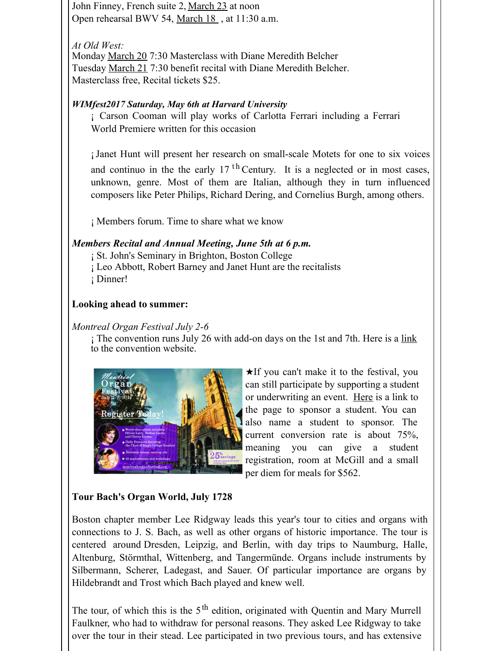John Finney, French suite 2, March 23 at noon Open rehearsal BWV 54, March 18 , at 11:30 a.m.

## *At Old West:*

Monday March 20 7:30 Masterclass with Diane Meredith Belcher Tuesday March 21 7:30 benefit recital with Diane Meredith Belcher. Masterclass free, Recital tickets \$25.

## *WIMfest2017 Saturday, May 6th at Harvard University*

¡ Carson Cooman will play works of Carlotta Ferrari including a Ferrari World Premiere written for this occasion

¡Janet Hunt will present her research on small-scale Motets for one to six voices and continuo in the the early  $17$ <sup>th</sup> Century. It is a neglected or in most cases, unknown, genre. Most of them are Italian, although they in turn influenced composers like Peter Philips, Richard Dering, and Cornelius Burgh, among others.

¡ Members forum. Time to share what we know

## *Members Recital and Annual Meeting, June 5th at 6 p.m.*

¡ St. John's Seminary in Brighton, Boston College ¡ Leo Abbott, Robert Barney and Janet Hunt are the recitalists ¡ Dinner!

## **Looking ahead to summer:**

## *Montreal Organ Festival July 2-6*

; The convention runs July 26 with add-on days on the 1st and 7th. Here is a [link](http:/) to the convention website.



★If you can't make it to the festival, you can still participate by supporting a student or underwriting an event. [Here](http://www.montrealorganfestival.org/sponsor.html) is a link to the page to sponsor a student. You can also name a student to sponsor. The current conversion rate is about 75%, meaning you can give a student registration, room at McGill and a small per diem for meals for \$562.

# **Tour Bach's Organ World, July 1728**

Boston chapter member Lee Ridgway leads this year's tour to cities and organs with connections to J. S. Bach, as well as other organs of historic importance. The tour is centered around Dresden, Leipzig, and Berlin, with day trips to Naumburg, Halle, Altenburg, Störmthal, Wittenberg, and Tangermünde. Organs include instruments by Silbermann, Scherer, Ladegast, and Sauer. Of particular importance are organs by Hildebrandt and Trost which Bach played and knew well.

The tour, of which this is the 5<sup>th</sup> edition, originated with Quentin and Mary Murrell Faulkner, who had to withdraw for personal reasons. They asked Lee Ridgway to take over the tour in their stead. Lee participated in two previous tours, and has extensive